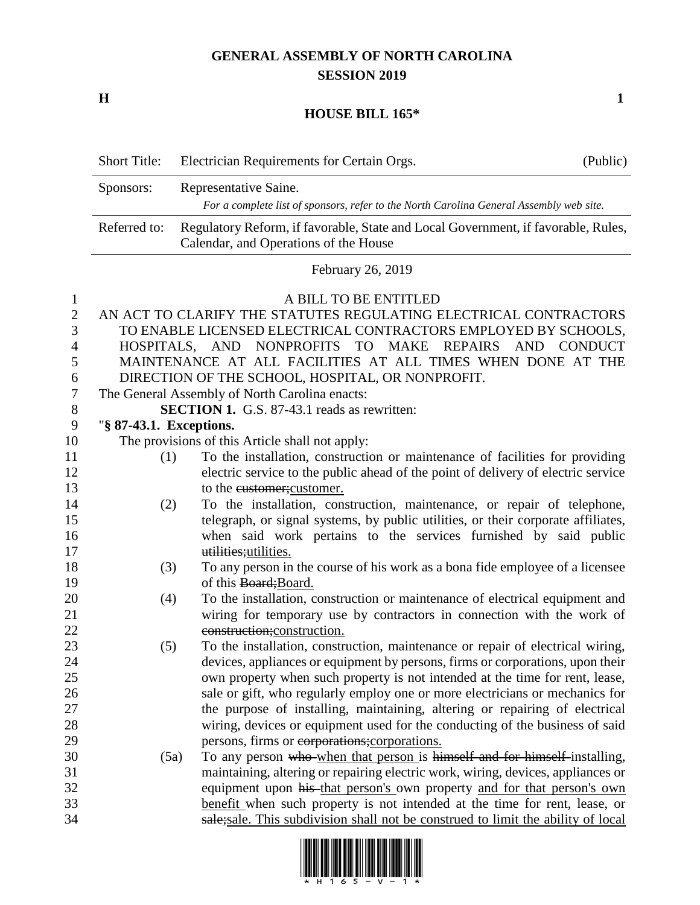## **GENERAL ASSEMBLY OF NORTH CAROLINA SESSION 2019**

**H 1**

## **HOUSE BILL 165\***

|                          | <b>Short Title:</b>     | Electrician Requirements for Certain Orgs.                                                                                                                       | (Public)       |
|--------------------------|-------------------------|------------------------------------------------------------------------------------------------------------------------------------------------------------------|----------------|
|                          | Sponsors:               | Representative Saine.                                                                                                                                            |                |
|                          |                         | For a complete list of sponsors, refer to the North Carolina General Assembly web site.                                                                          |                |
|                          | Referred to:            | Regulatory Reform, if favorable, State and Local Government, if favorable, Rules,<br>Calendar, and Operations of the House                                       |                |
|                          |                         | February 26, 2019                                                                                                                                                |                |
| 1<br>$\overline{2}$<br>3 |                         | A BILL TO BE ENTITLED<br>AN ACT TO CLARIFY THE STATUTES REGULATING ELECTRICAL CONTRACTORS<br>TO ENABLE LICENSED ELECTRICAL CONTRACTORS EMPLOYED BY SCHOOLS,      |                |
| $\overline{4}$           |                         | HOSPITALS, AND NONPROFITS TO MAKE REPAIRS<br><b>AND</b>                                                                                                          | <b>CONDUCT</b> |
| 5                        |                         | MAINTENANCE AT ALL FACILITIES AT ALL TIMES WHEN DONE AT THE                                                                                                      |                |
| 6<br>$\boldsymbol{7}$    |                         | DIRECTION OF THE SCHOOL, HOSPITAL, OR NONPROFIT.<br>The General Assembly of North Carolina enacts:                                                               |                |
| 8                        |                         | <b>SECTION 1.</b> G.S. 87-43.1 reads as rewritten:                                                                                                               |                |
| $\boldsymbol{9}$         | "§ 87-43.1. Exceptions. |                                                                                                                                                                  |                |
| 10                       |                         | The provisions of this Article shall not apply:                                                                                                                  |                |
| 11                       | (1)                     | To the installation, construction or maintenance of facilities for providing                                                                                     |                |
| 12                       |                         | electric service to the public ahead of the point of delivery of electric service                                                                                |                |
| 13                       |                         | to the eustomer; customer.                                                                                                                                       |                |
| 14                       | (2)                     | To the installation, construction, maintenance, or repair of telephone,                                                                                          |                |
| 15                       |                         | telegraph, or signal systems, by public utilities, or their corporate affiliates,                                                                                |                |
| 16                       |                         | when said work pertains to the services furnished by said public                                                                                                 |                |
| 17                       |                         | utilities; utilities.                                                                                                                                            |                |
| 18                       | (3)                     | To any person in the course of his work as a bona fide employee of a licensee                                                                                    |                |
| 19                       |                         | of this Board; Board.                                                                                                                                            |                |
| 20                       | (4)                     | To the installation, construction or maintenance of electrical equipment and                                                                                     |                |
| 21<br>22                 |                         | wiring for temporary use by contractors in connection with the work of                                                                                           |                |
| 23                       |                         | construction; construction.                                                                                                                                      |                |
| 24                       | (5)                     | To the installation, construction, maintenance or repair of electrical wiring,<br>devices, appliances or equipment by persons, firms or corporations, upon their |                |
| 25                       |                         | own property when such property is not intended at the time for rent, lease,                                                                                     |                |
| 26                       |                         | sale or gift, who regularly employ one or more electricians or mechanics for                                                                                     |                |
| 27                       |                         | the purpose of installing, maintaining, altering or repairing of electrical                                                                                      |                |
| 28                       |                         | wiring, devices or equipment used for the conducting of the business of said                                                                                     |                |
| 29                       |                         | persons, firms or corporations; corporations.                                                                                                                    |                |
| 30                       | (5a)                    | To any person who when that person is himself and for himself installing,                                                                                        |                |
| 31                       |                         | maintaining, altering or repairing electric work, wiring, devices, appliances or                                                                                 |                |
| 32                       |                         | equipment upon his that person's own property and for that person's own                                                                                          |                |
| 33                       |                         | benefit when such property is not intended at the time for rent, lease, or                                                                                       |                |
| 34                       |                         | sale; sale. This subdivision shall not be construed to limit the ability of local                                                                                |                |

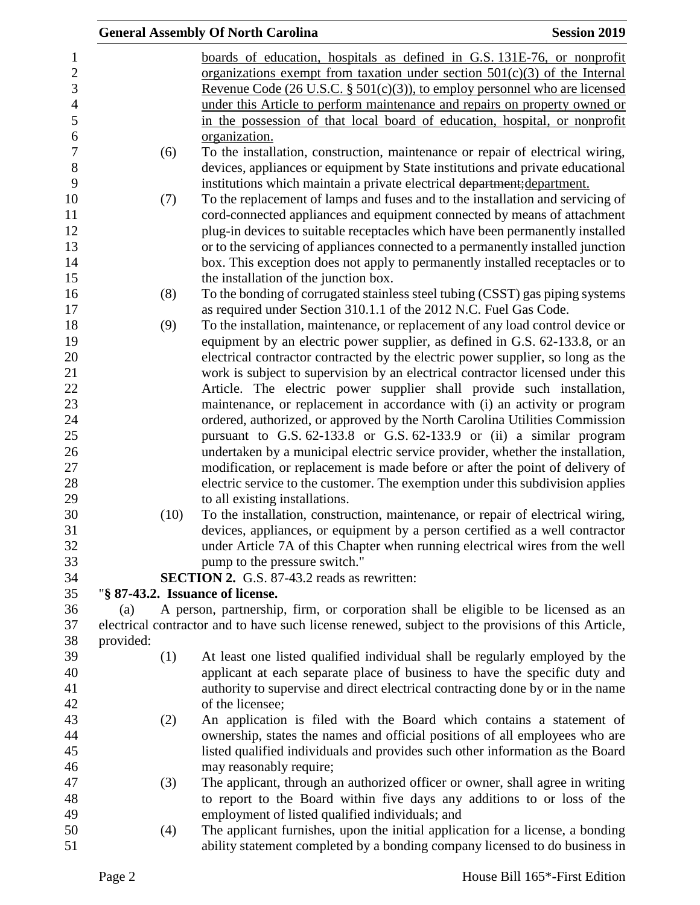|           | <b>General Assembly Of North Carolina</b>                                                          | <b>Session 2019</b> |
|-----------|----------------------------------------------------------------------------------------------------|---------------------|
|           | boards of education, hospitals as defined in G.S. 131E-76, or nonprofit                            |                     |
|           | organizations exempt from taxation under section $501(c)(3)$ of the Internal                       |                     |
|           | <u>Revenue Code (26 U.S.C. § 501(c)(3)), to employ personnel who are licensed</u>                  |                     |
|           | under this Article to perform maintenance and repairs on property owned or                         |                     |
|           | in the possession of that local board of education, hospital, or nonprofit                         |                     |
|           | organization.                                                                                      |                     |
|           |                                                                                                    |                     |
| (6)       | To the installation, construction, maintenance or repair of electrical wiring,                     |                     |
|           | devices, appliances or equipment by State institutions and private educational                     |                     |
|           | institutions which maintain a private electrical department; department.                           |                     |
| (7)       | To the replacement of lamps and fuses and to the installation and servicing of                     |                     |
|           | cord-connected appliances and equipment connected by means of attachment                           |                     |
|           | plug-in devices to suitable receptacles which have been permanently installed                      |                     |
|           | or to the servicing of appliances connected to a permanently installed junction                    |                     |
|           | box. This exception does not apply to permanently installed receptacles or to                      |                     |
|           | the installation of the junction box.                                                              |                     |
| (8)       | To the bonding of corrugated stainless steel tubing (CSST) gas piping systems                      |                     |
|           | as required under Section 310.1.1 of the 2012 N.C. Fuel Gas Code.                                  |                     |
| (9)       | To the installation, maintenance, or replacement of any load control device or                     |                     |
|           | equipment by an electric power supplier, as defined in G.S. 62-133.8, or an                        |                     |
|           | electrical contractor contracted by the electric power supplier, so long as the                    |                     |
|           | work is subject to supervision by an electrical contractor licensed under this                     |                     |
|           | Article. The electric power supplier shall provide such installation,                              |                     |
|           | maintenance, or replacement in accordance with (i) an activity or program                          |                     |
|           | ordered, authorized, or approved by the North Carolina Utilities Commission                        |                     |
|           | pursuant to G.S. 62-133.8 or G.S. 62-133.9 or (ii) a similar program                               |                     |
|           | undertaken by a municipal electric service provider, whether the installation,                     |                     |
|           | modification, or replacement is made before or after the point of delivery of                      |                     |
|           | electric service to the customer. The exemption under this subdivision applies                     |                     |
|           | to all existing installations.                                                                     |                     |
| (10)      | To the installation, construction, maintenance, or repair of electrical wiring,                    |                     |
|           | devices, appliances, or equipment by a person certified as a well contractor                       |                     |
|           | under Article 7A of this Chapter when running electrical wires from the well                       |                     |
|           | pump to the pressure switch."                                                                      |                     |
|           | <b>SECTION 2.</b> G.S. 87-43.2 reads as rewritten:                                                 |                     |
|           | "§ 87-43.2. Issuance of license.                                                                   |                     |
| (a)       | A person, partnership, firm, or corporation shall be eligible to be licensed as an                 |                     |
|           | electrical contractor and to have such license renewed, subject to the provisions of this Article, |                     |
| provided: |                                                                                                    |                     |
| (1)       | At least one listed qualified individual shall be regularly employed by the                        |                     |
|           | applicant at each separate place of business to have the specific duty and                         |                     |
|           | authority to supervise and direct electrical contracting done by or in the name                    |                     |
|           | of the licensee;                                                                                   |                     |
| (2)       | An application is filed with the Board which contains a statement of                               |                     |
|           | ownership, states the names and official positions of all employees who are                        |                     |
|           | listed qualified individuals and provides such other information as the Board                      |                     |
|           | may reasonably require;                                                                            |                     |
| (3)       | The applicant, through an authorized officer or owner, shall agree in writing                      |                     |
|           | to report to the Board within five days any additions to or loss of the                            |                     |
|           | employment of listed qualified individuals; and                                                    |                     |
| (4)       | The applicant furnishes, upon the initial application for a license, a bonding                     |                     |
|           | ability statement completed by a bonding company licensed to do business in                        |                     |
|           |                                                                                                    |                     |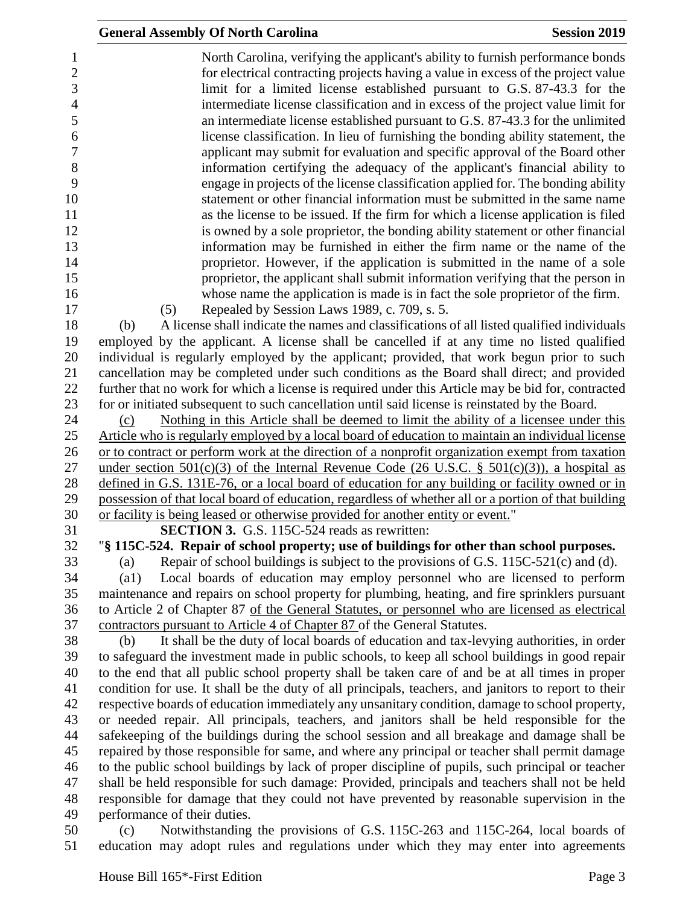|                                                         | <b>General Assembly Of North Carolina</b><br><b>Session 2019</b>                                                                                                                                                                                                                                                                    |  |
|---------------------------------------------------------|-------------------------------------------------------------------------------------------------------------------------------------------------------------------------------------------------------------------------------------------------------------------------------------------------------------------------------------|--|
| 1<br>$\overline{c}$<br>$\overline{3}$<br>$\overline{4}$ | North Carolina, verifying the applicant's ability to furnish performance bonds<br>for electrical contracting projects having a value in excess of the project value<br>limit for a limited license established pursuant to G.S. 87-43.3 for the<br>intermediate license classification and in excess of the project value limit for |  |
| 5<br>6                                                  | an intermediate license established pursuant to G.S. 87-43.3 for the unlimited<br>license classification. In lieu of furnishing the bonding ability statement, the                                                                                                                                                                  |  |
| $\overline{7}$                                          | applicant may submit for evaluation and specific approval of the Board other                                                                                                                                                                                                                                                        |  |
| 8<br>9                                                  | information certifying the adequacy of the applicant's financial ability to<br>engage in projects of the license classification applied for. The bonding ability                                                                                                                                                                    |  |
| 10                                                      | statement or other financial information must be submitted in the same name                                                                                                                                                                                                                                                         |  |
| 11                                                      | as the license to be issued. If the firm for which a license application is filed                                                                                                                                                                                                                                                   |  |
| 12                                                      | is owned by a sole proprietor, the bonding ability statement or other financial                                                                                                                                                                                                                                                     |  |
| 13                                                      | information may be furnished in either the firm name or the name of the                                                                                                                                                                                                                                                             |  |
| 14                                                      | proprietor. However, if the application is submitted in the name of a sole                                                                                                                                                                                                                                                          |  |
| 15                                                      | proprietor, the applicant shall submit information verifying that the person in                                                                                                                                                                                                                                                     |  |
| 16<br>17                                                | whose name the application is made is in fact the sole proprietor of the firm.                                                                                                                                                                                                                                                      |  |
| 18                                                      | Repealed by Session Laws 1989, c. 709, s. 5.<br>(5)<br>A license shall indicate the names and classifications of all listed qualified individuals<br>(b)                                                                                                                                                                            |  |
| 19                                                      | employed by the applicant. A license shall be cancelled if at any time no listed qualified                                                                                                                                                                                                                                          |  |
| 20                                                      | individual is regularly employed by the applicant; provided, that work begun prior to such                                                                                                                                                                                                                                          |  |
| 21                                                      | cancellation may be completed under such conditions as the Board shall direct; and provided                                                                                                                                                                                                                                         |  |
| 22                                                      | further that no work for which a license is required under this Article may be bid for, contracted                                                                                                                                                                                                                                  |  |
| 23                                                      | for or initiated subsequent to such cancellation until said license is reinstated by the Board.                                                                                                                                                                                                                                     |  |
| 24                                                      | Nothing in this Article shall be deemed to limit the ability of a licensee under this<br>(c)                                                                                                                                                                                                                                        |  |
| 25                                                      | Article who is regularly employed by a local board of education to maintain an individual license                                                                                                                                                                                                                                   |  |
| 26                                                      | or to contract or perform work at the direction of a nonprofit organization exempt from taxation                                                                                                                                                                                                                                    |  |
| 27<br>28                                                | under section $501(c)(3)$ of the Internal Revenue Code (26 U.S.C. § $501(c)(3)$ ), a hospital as<br>defined in G.S. 131E-76, or a local board of education for any building or facility owned or in                                                                                                                                 |  |
| 29                                                      | possession of that local board of education, regardless of whether all or a portion of that building                                                                                                                                                                                                                                |  |
| 30                                                      | or facility is being leased or otherwise provided for another entity or event."                                                                                                                                                                                                                                                     |  |
| 31                                                      | <b>SECTION 3.</b> G.S. 115C-524 reads as rewritten:                                                                                                                                                                                                                                                                                 |  |
| 32                                                      | "§ 115C-524. Repair of school property; use of buildings for other than school purposes.                                                                                                                                                                                                                                            |  |
| 33                                                      | Repair of school buildings is subject to the provisions of G.S. $115C-521(c)$ and (d).<br>(a)                                                                                                                                                                                                                                       |  |
| 34                                                      | Local boards of education may employ personnel who are licensed to perform<br>$\left( a1\right)$                                                                                                                                                                                                                                    |  |
| 35                                                      | maintenance and repairs on school property for plumbing, heating, and fire sprinklers pursuant                                                                                                                                                                                                                                      |  |
| 36                                                      | to Article 2 of Chapter 87 of the General Statutes, or personnel who are licensed as electrical                                                                                                                                                                                                                                     |  |
| 37                                                      | contractors pursuant to Article 4 of Chapter 87 of the General Statutes.                                                                                                                                                                                                                                                            |  |
| 38<br>39                                                | It shall be the duty of local boards of education and tax-levying authorities, in order<br>(b)<br>to safeguard the investment made in public schools, to keep all school buildings in good repair                                                                                                                                   |  |
| 40                                                      | to the end that all public school property shall be taken care of and be at all times in proper                                                                                                                                                                                                                                     |  |
| 41                                                      | condition for use. It shall be the duty of all principals, teachers, and janitors to report to their                                                                                                                                                                                                                                |  |
| 42                                                      | respective boards of education immediately any unsanitary condition, damage to school property,                                                                                                                                                                                                                                     |  |
| 43                                                      | or needed repair. All principals, teachers, and janitors shall be held responsible for the                                                                                                                                                                                                                                          |  |
| 44                                                      | safekeeping of the buildings during the school session and all breakage and damage shall be                                                                                                                                                                                                                                         |  |
| 45                                                      | repaired by those responsible for same, and where any principal or teacher shall permit damage                                                                                                                                                                                                                                      |  |
| 46                                                      | to the public school buildings by lack of proper discipline of pupils, such principal or teacher                                                                                                                                                                                                                                    |  |
| 47                                                      | shall be held responsible for such damage: Provided, principals and teachers shall not be held                                                                                                                                                                                                                                      |  |
| 48<br>49                                                | responsible for damage that they could not have prevented by reasonable supervision in the                                                                                                                                                                                                                                          |  |
| 50                                                      | performance of their duties.<br>Notwithstanding the provisions of G.S. 115C-263 and 115C-264, local boards of<br>(c)                                                                                                                                                                                                                |  |
| 51                                                      | education may adopt rules and regulations under which they may enter into agreements                                                                                                                                                                                                                                                |  |